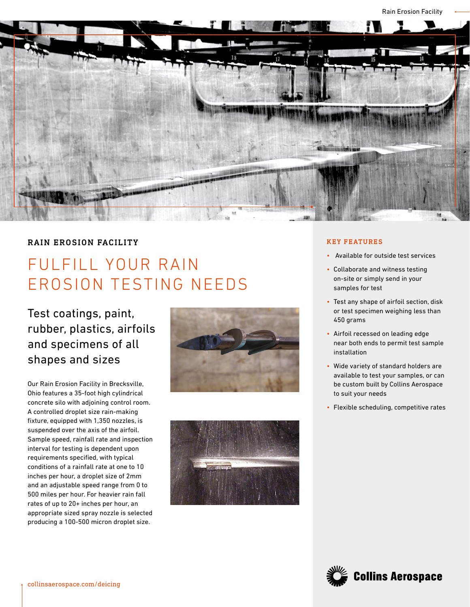

## RAIN EROSION FACILITY

## FULFILL YOUR RAIN EROSION TESTING NEEDS

Test coatings, paint, rubber, plastics, airfoils and specimens of all shapes and sizes

Our Rain Erosion Facility in Brecksville, Ohio features a 35-foot high cylindrical concrete silo with adjoining control room. A controlled droplet size rain-making fixture, equipped with 1,350 nozzles, is suspended over the axis of the airfoil. Sample speed, rainfall rate and inspection interval for testing is dependent upon requirements specified, with typical conditions of a rainfall rate at one to 10 inches per hour, a droplet size of 2mm and an adjustable speed range from 0 to 500 miles per hour. For heavier rain fall rates of up to 20+ inches per hour, an appropriate sized spray nozzle is selected producing a 100-500 micron droplet size.





## KEY FEATURES

- Available for outside test services
- Collaborate and witness testing on-site or simply send in your samples for test
- Test any shape of airfoil section, disk or test specimen weighing less than 450 grams
- Airfoil recessed on leading edge near both ends to permit test sample installation
- Wide variety of standard holders are available to test your samples, or can be custom built by Collins Aerospace to suit your needs
- Flexible scheduling, competitive rates